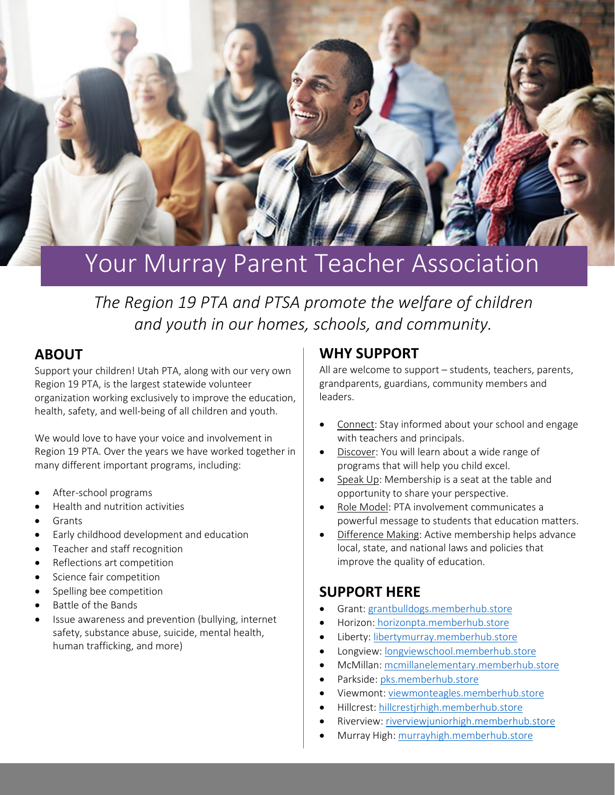

# Your Murray Parent Teacher Association

*The Region 19 PTA and PTSA promote the welfare of children and youth in our homes, schools, and community.*

### **ABOUT**

Support your children! Utah PTA, along with our very own Region 19 PTA, is the largest statewide volunteer organization working exclusively to improve the education, health, safety, and well-being of all children and youth.

We would love to have your voice and involvement in Region 19 PTA. Over the years we have worked together in many different important programs, including:

- After-school programs
- Health and nutrition activities
- **Grants**
- Early childhood development and education
- Teacher and staff recognition
- Reflections art competition
- Science fair competition
- Spelling bee competition
- Battle of the Bands
- Issue awareness and prevention (bullying, internet safety, substance abuse, suicide, mental health, human trafficking, and more)

### **WHY SUPPORT**

All are welcome to support – students, teachers, parents, grandparents, guardians, community members and leaders.

- Connect: Stay informed about your school and engage with teachers and principals.
- Discover: You will learn about a wide range of programs that will help you child excel.
- Speak Up: Membership is a seat at the table and opportunity to share your perspective.
- Role Model: PTA involvement communicates a powerful message to students that education matters.
- Difference Making: Active membership helps advance local, state, and national laws and policies that improve the quality of education.

## **SUPPORT HERE**

- Grant[: grantbulldogs.memberhub.store](https://grantbulldogs.memberhub.store/)
- Horizon: [horizonpta.memberhub.store](https://horizonpta.memberhub.store/)
- Liberty: [libertymurray.memberhub.store](https://libertymurray.memberhub.store/)
- Longview: [longviewschool.memberhub.store](https://longviewschool.membershub.store/)
- McMillan: [mcmillanelementary.memberhub.store](https://mcmillanelementary.memberhub.store/)
- Parkside[: pks.memberhub.store](https://pks.memberhub.store/)
- Viewmont: [viewmonteagles.memberhub.store](https://viewmonteagles.memberhub.store/)
- Hillcrest: [hillcrestjrhigh.memberhub.store](https://hillcrestjrhigh.memberhub.store/)
- Riverview: [riverviewjuniorhigh.memberhub.store](https://riverviewjuniorhigh.memberhub.store/)
- Murray High[: murrayhigh.memberhub.store](https://murrayhigh.memberhub.store/)